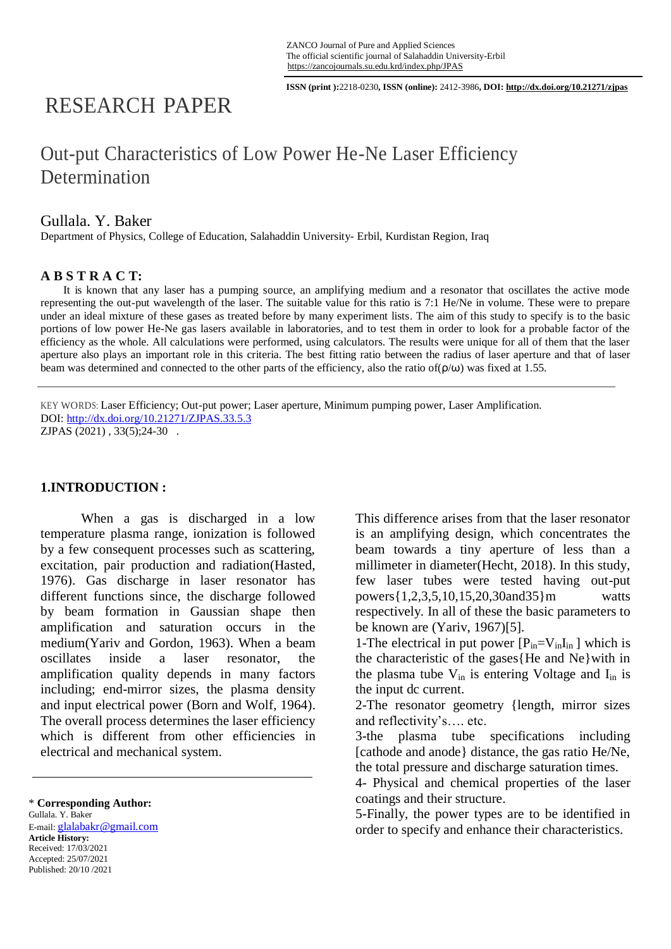**ISSN (print ):**2218-0230**, ISSN (online):** 2412-3986**, DOI: http://dx.doi.org/10.21271/zjpas**

# RESEARCH PAPER

## Out-put Characteristics of Low Power He-Ne Laser Efficiency **Determination**

### Gullala. Y. Baker

Department of Physics, College of Education, Salahaddin University- Erbil, Kurdistan Region, Iraq

#### **A B S T R A C T:**

 It is known that any laser has a pumping source, an amplifying medium and a resonator that oscillates the active mode representing the out-put wavelength of the laser. The suitable value for this ratio is 7:1 He/Ne in volume. These were to prepare under an ideal mixture of these gases as treated before by many experiment lists. The aim of this study to specify is to the basic portions of low power He-Ne gas lasers available in laboratories, and to test them in order to look for a probable factor of the efficiency as the whole. All calculations were performed, using calculators. The results were unique for all of them that the laser aperture also plays an important role in this criteria. The best fitting ratio between the radius of laser aperture and that of laser beam was determined and connected to the other parts of the efficiency, also the ratio of(ρ/ω) was fixed at 1.55.

KEY WORDS: Laser Efficiency; Out-put power; Laser aperture, Minimum pumping power, Laser Amplification. DOI:<http://dx.doi.org/10.21271/ZJPAS.33.5.3> ZJPAS (2021) , 33(5);24-30 .

#### **1.INTRODUCTION :**

When a gas is discharged in a low temperature plasma range, ionization is followed by a few consequent processes such as scattering, excitation, pair production and radiation(Hasted, 1976). Gas discharge in laser resonator has different functions since, the discharge followed by beam formation in Gaussian shape then amplification and saturation occurs in the medium(Yariv and Gordon, 1963). When a beam oscillates inside a laser resonator, the amplification quality depends in many factors including; end-mirror sizes, the plasma density and input electrical power (Born and Wolf, 1964). The overall process determines the laser efficiency which is different from other efficiencies in electrical and mechanical system.

Gullala. Y. Baker E-mail: glalabakr@gmail.com **Article History:** Received: 17/03/2021 Accepted: 25/07/2021 Published: 20/10 /2021

This difference arises from that the laser resonator is an amplifying design, which concentrates the beam towards a tiny aperture of less than a millimeter in diameter(Hecht, 2018). In this study, few laser tubes were tested having out-put powers{1,2,3,5,10,15,20,30and35}m watts respectively. In all of these the basic parameters to be known are (Yariv, 1967)[5].

1-The electrical in put power  $[P_{in}=V_{in}I_{in}]$  which is the characteristic of the gases{He and Ne}with in the plasma tube  $V_{in}$  is entering Voltage and  $I_{in}$  is the input dc current.

2-The resonator geometry {length, mirror sizes and reflectivity's…. etc.

3-the plasma tube specifications including [cathode and anode} distance, the gas ratio He/Ne, the total pressure and discharge saturation times.

4- Physical and chemical properties of the laser coatings and their structure.

5-Finally, the power types are to be identified in order to specify and enhance their characteristics.

<sup>\*</sup> **Corresponding Author:**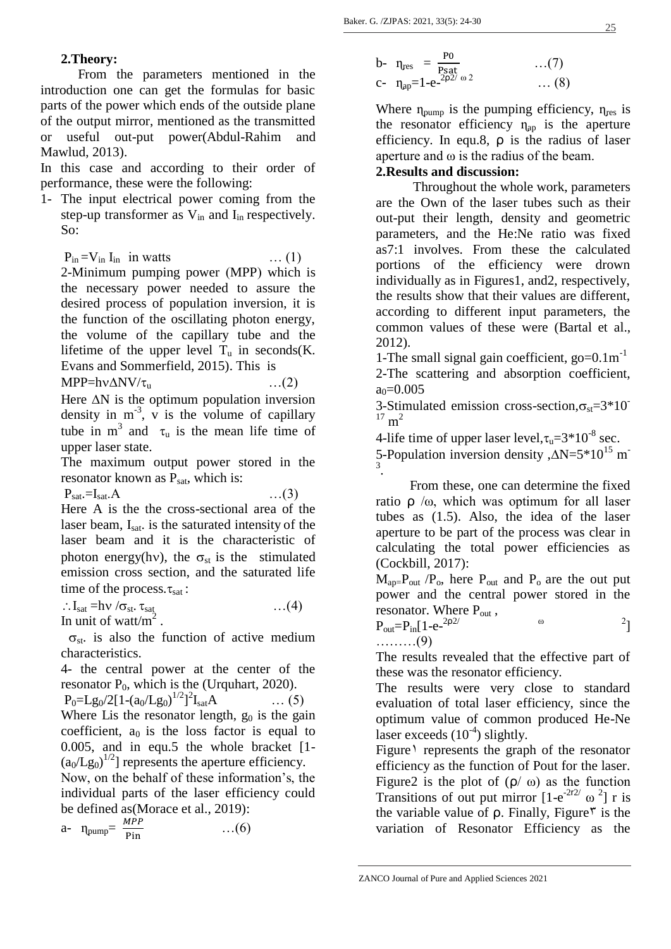#### **2.Theory:**

 From the parameters mentioned in the introduction one can get the formulas for basic parts of the power which ends of the outside plane of the output mirror, mentioned as the transmitted or useful out-put power(Abdul-Rahim and Mawlud, 2013).

In this case and according to their order of performance, these were the following:

1- The input electrical power coming from the step-up transformer as  $V_{in}$  and  $I_{in}$  respectively. So:

 $P_{in} = V_{in} I_{in}$  in watts … (1)

2-Minimum pumping power (MPP) which is the necessary power needed to assure the desired process of population inversion, it is the function of the oscillating photon energy, the volume of the capillary tube and the lifetime of the upper level  $T_u$  in seconds(K. Evans and Sommerfield, 2015). This is

 $MPP=h\nu\Delta NV/\tau_{u}$  ...(2)

Here  $\Delta N$  is the optimum population inversion density in  $m^{-3}$ , v is the volume of capillary tube in  $m^3$  and  $\tau_u$  is the mean life time of upper laser state.

The maximum output power stored in the resonator known as  $P_{\text{sat}}$ , which is:

$$
\mathbf{P}_{\text{sat}}=\mathbf{I}_{\text{sat}}.\mathbf{A}
$$

 $\ldots(3)$ 

Here A is the the cross-sectional area of the laser beam, I<sub>sat</sub>. is the saturated intensity of the laser beam and it is the characteristic of photon energy(hv), the  $\sigma_{st}$  is the stimulated emission cross section, and the saturated life time of the process. $\tau_{sat}$ :

 $\therefore I_{\text{sat}} = h \nu / \sigma_{\text{st}}. \tau_{\text{sat}}$  …(4)

In unit of watt/ $m^2$ .

 $\sigma_{st}$  is also the function of active medium characteristics.

4- the central power at the center of the resonator  $P_0$ , which is the (Urquhart, 2020).

 $P_0 = Lg_0/2[1-(a_0/Lg_0)^{1/2}]^2$  $\ldots$  (5) Where Lis the resonator length,  $g_0$  is the gain coefficient,  $a_0$  is the loss factor is equal to 0.005, and in equ.5 the whole bracket [1-  $(a_0/Lg_0)^{1/2}$ ] represents the aperture efficiency.

Now, on the behalf of these information's, the individual parts of the laser efficiency could be defined as(Morace et al., 2019):

$$
a - \eta_{pump} = \frac{MPP}{Pin} \qquad \qquad \dots (6)
$$

b- 
$$
\eta_{res} = \frac{P0}{P_{sat}}
$$
 ... (7)  
c-  $\eta_{ap} = 1 - e^{-2\rho 2/\omega 2}$  ... (8)

Where  $\eta_{\text{pump}}$  is the pumping efficiency,  $\eta_{\text{res}}$  is the resonator efficiency  $\eta_{ap}$  is the aperture efficiency. In equ.8, ρ is the radius of laser aperture and ω is the radius of the beam.

#### **2.Results and discussion:**

 Throughout the whole work, parameters are the Own of the laser tubes such as their out-put their length, density and geometric parameters, and the He:Ne ratio was fixed as7:1 involves. From these the calculated portions of the efficiency were drown individually as in Figures1, and2, respectively, the results show that their values are different, according to different input parameters, the common values of these were (Bartal et al., 2012).

1-The small signal gain coefficient,  $q_0$ = $0.1 \text{m}^{-1}$ 2-The scattering and absorption coefficient,

 $a_0=0.005$ 

3-Stimulated emission cross-section,  $\sigma_{st}$ =3\*10<sup>-</sup>  $17 \text{ m}^2$ 

4-life time of upper laser level,  $\tau_u = 3*10^{-8}$  sec.

5-Population inversion density , $\Delta N = 5*10^{15}$  m 3 .

 From these, one can determine the fixed ratio  $ρ$  /ω, which was optimum for all laser tubes as (1.5). Also, the idea of the laser aperture to be part of the process was clear in calculating the total power efficiencies as (Cockbill, 2017):

 $M_{ap}$ - $P_{out}$  / $P_o$ , here  $P_{out}$  and  $P_o$  are the out put power and the central power stored in the resonator. Where  $P_{out}$ ,

 $P_{out}=P_{in}[1-e^{-2\rho2/3}]$ 2ρ2/  $ω$  2] ………(9)

The results revealed that the effective part of these was the resonator efficiency.

The results were very close to standard evaluation of total laser efficiency, since the optimum value of common produced He-Ne laser exceeds  $(10^{-4})$  slightly.

Figure<sup> $\theta$ </sup> represents the graph of the resonator efficiency as the function of Pout for the laser. Figure2 is the plot of  $(ρ/ω)$  as the function Transitions of out put mirror  $[1-e^{2r^2/\omega^2}]$  r is the variable value of  $ρ$ . Finally, Figure<sup> $τ$ </sup> is the variation of Resonator Efficiency as the

ZANCO Journal of Pure and Applied Sciences 2021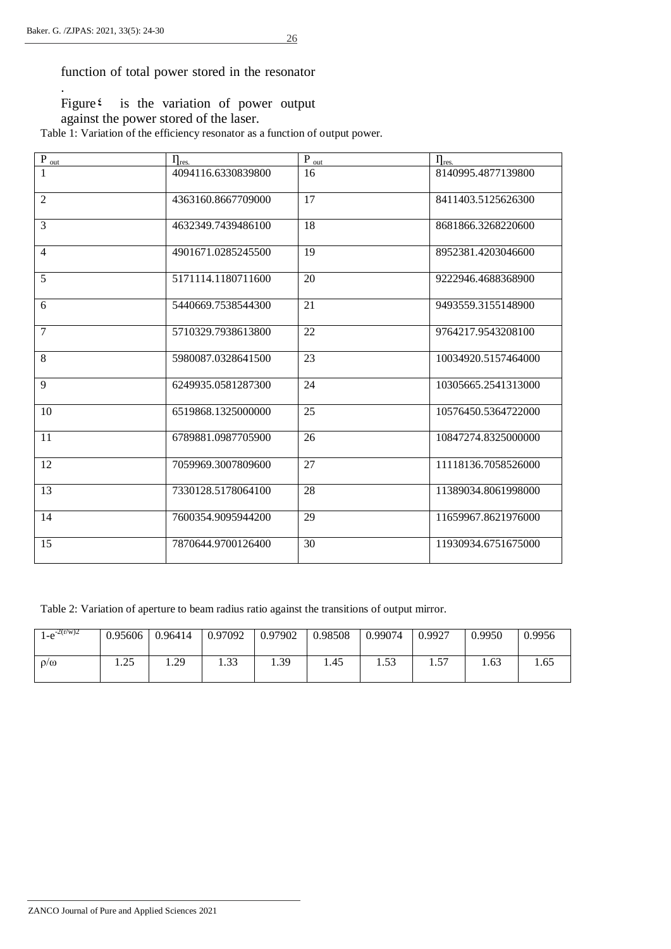.

function of total power stored in the resonator

Figure<sup> $t$ </sup> is the variation of power output

against the power stored of the laser.

Table 1: Variation of the efficiency resonator as a function of output power.

| $P_{out}$      | $\eta_{\text{res.}}$ | $P_{out}$       | $\eta_{\rm res.}$   |
|----------------|----------------------|-----------------|---------------------|
|                | 4094116.6330839800   | 16              | 8140995.4877139800  |
| $\overline{2}$ | 4363160.8667709000   | 17              | 8411403.5125626300  |
| $\overline{3}$ | 4632349.7439486100   | $\overline{18}$ | 8681866.3268220600  |
| $\overline{4}$ | 4901671.0285245500   | 19              | 8952381.4203046600  |
| 5              | 5171114.1180711600   | 20              | 9222946.4688368900  |
| 6              | 5440669.7538544300   | 21              | 9493559.3155148900  |
| $\overline{7}$ | 5710329.7938613800   | 22              | 9764217.9543208100  |
| 8              | 5980087.0328641500   | 23              | 10034920.5157464000 |
| 9              | 6249935.0581287300   | 24              | 10305665.2541313000 |
| 10             | 6519868.1325000000   | 25              | 10576450.5364722000 |
| 11             | 6789881.0987705900   | 26              | 10847274.8325000000 |
| 12             | 7059969.3007809600   | 27              | 11118136.7058526000 |
| 13             | 7330128.5178064100   | 28              | 11389034.8061998000 |
| 14             | 7600354.9095944200   | 29              | 11659967.8621976000 |
| 15             | 7870644.9700126400   | 30              | 11930934.6751675000 |

Table 2: Variation of aperture to beam radius ratio against the transitions of output mirror.

| $1 - e^{-2(r/w)2}$ | 0.95606     | 0.96414 | 0.97092            | 0.97902 | 0.98508 | 0.99074      | 0.9927    | 0.9950 | 0.9956 |
|--------------------|-------------|---------|--------------------|---------|---------|--------------|-----------|--------|--------|
| $\rho/\omega$      | つぐ<br>ر ے . | 1.29    | $\Omega$<br>ر ر. د | 1.39    | 1.45    | 52<br>ر ر. د | 57<br>1.J | 1.63   | 1.65   |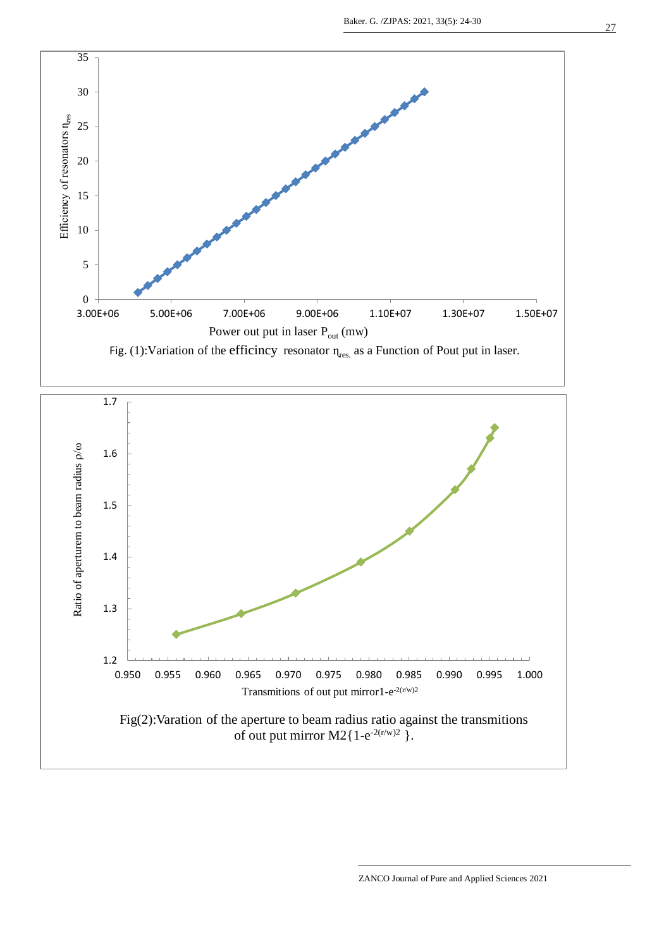



ZANCO Journal of Pure and Applied Sciences 2021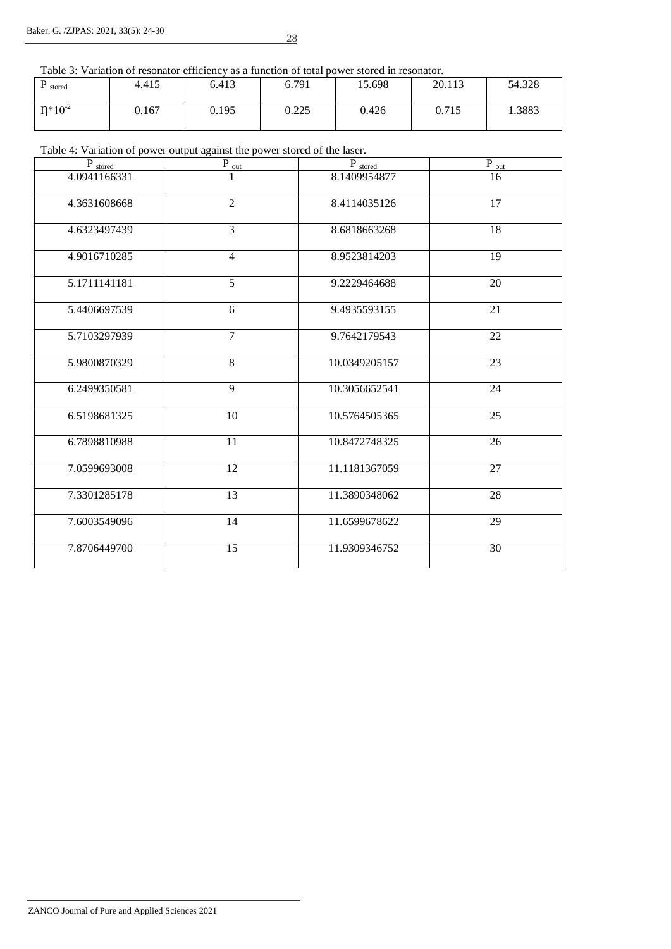28

Table 3: Variation of resonator efficiency as a function of total power stored in resonator.

| D<br>stored    | 4.415 | 6.413 | 6.791 | 15.698 | 20.113 | 54.328 |
|----------------|-------|-------|-------|--------|--------|--------|
| $\Pi^*10^{-2}$ | 0.167 | 0.195 | 0.225 | 0.426  | 0.715  | 1.3883 |

#### Table 4: Variation of power output against the power stored of the laser.

| $\mathbf{P}_{\textrm{stored}}$ | $P_{\underline{\hspace{1mm}\text{out}}}$ | $\mathbf{P}_{\textrm{stored}}$ | $P_{out}$ |
|--------------------------------|------------------------------------------|--------------------------------|-----------|
| 4.0941166331                   |                                          | 8.1409954877                   | 16        |
| 4.3631608668                   | $\overline{2}$                           | 8.4114035126                   | 17        |
| 4.6323497439                   | $\overline{3}$                           | 8.6818663268                   | 18        |
| 4.9016710285                   | $\overline{4}$                           | 8.9523814203                   | 19        |
| 5.1711141181                   | $\overline{5}$                           | 9.2229464688                   | 20        |
| 5.4406697539                   | 6                                        | 9.4935593155                   | 21        |
| 5.7103297939                   | $\overline{7}$                           | 9.7642179543                   | 22        |
| 5.9800870329                   | 8                                        | 10.0349205157                  | 23        |
| 6.2499350581                   | 9                                        | 10.3056652541                  | 24        |
| 6.5198681325                   | 10                                       | 10.5764505365                  | 25        |
| 6.7898810988                   | 11                                       | 10.8472748325                  | 26        |
| 7.0599693008                   | 12                                       | 11.1181367059                  | 27        |
| 7.3301285178                   | $\overline{13}$                          | 11.3890348062                  | 28        |
| 7.6003549096                   | 14                                       | 11.6599678622                  | 29        |
| 7.8706449700                   | 15                                       | 11.9309346752                  | 30        |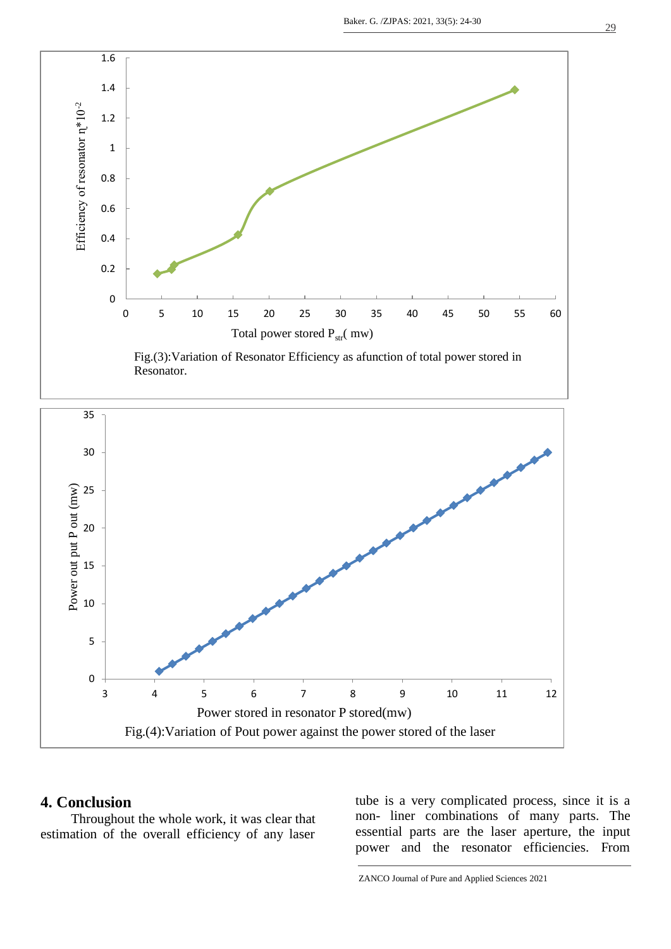

Resonator.



#### **4. Conclusion**

 Throughout the whole work, it was clear that estimation of the overall efficiency of any laser

tube is a very complicated process, since it is a non- liner combinations of many parts. The essential parts are the laser aperture, the input power and the resonator efficiencies. From